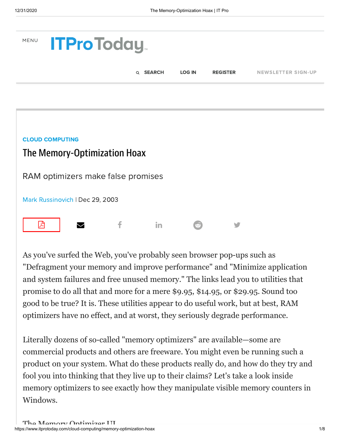



As you've surfed the Web, you've probably seen browser pop-ups such as "Defragment your memory and improve performance" and "Minimize application and system failures and free unused memory." The links lead you to utilities that promise to do all that and more for a mere \$9.95, \$14.95, or \$29.95. Sound too good to be true? It is. These utilities appear to do useful work, but at best, RAM optimizers have no effect, and at worst, they seriously degrade performance.

Literally dozens of so-called "memory optimizers" are available—some are commercial products and others are freeware. You might even be running such a product on your system. What do these products really do, and how do they try and fool you into thinking that they live up to their claims? Let's take a look inside memory optimizers to see exactly how they manipulate visible memory counters in Windows.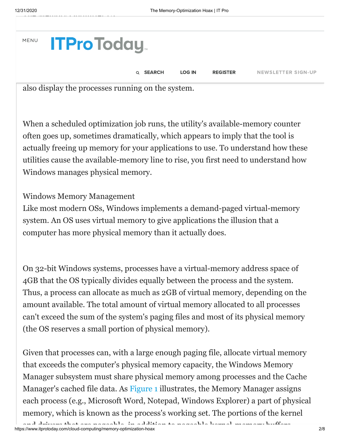| MENU <b>ITPro Today</b> |                                                     |                 |               |                 |                           |  |
|-------------------------|-----------------------------------------------------|-----------------|---------------|-----------------|---------------------------|--|
|                         |                                                     | Q <b>SEARCH</b> | <b>LOG IN</b> | <b>REGISTER</b> | <b>NEWSLETTER SIGN-UP</b> |  |
|                         | $\mathbf{1}$ $\mathbf{1}$ $\mathbf{1}$ $\mathbf{1}$ | $\cdot$ 1       |               |                 |                           |  |

also display the processes running on the system.

When a scheduled optimization job runs, the utility's available-memory counter often goes up, sometimes dramatically, which appears to imply that the tool is actually freeing up memory for your applications to use. To understand how these utilities cause the available-memory line to rise, you first need to understand how Windows manages physical memory.

## Windows Memory Management

Like most modern OSs, Windows implements a demand-paged virtual-memory system. An OS uses virtual memory to give applications the illusion that a computer has more physical memory than it actually does.

On 32-bit Windows systems, processes have a virtual-memory address space of 4GB that the OS typically divides equally between the process and the system. Thus, a process can allocate as much as 2GB of virtual memory, depending on the amount available. The total amount of virtual memory allocated to all processes can't exceed the sum of the system's paging files and most of its physical memory (the OS reserves a small portion of physical memory).

Given that processes can, with a large enough paging file, allocate virtual memory that exceeds the computer's physical memory capacity, the Windows Memory Manager subsystem must share physical memory among processes and the Cache Manager's cached file data. As [Figure 1](https://www.itprotoday.com/content/content/41095/figure_01.gif) illustrates, the Memory Manager assigns each process (e.g., Microsoft Word, Notepad, Windows Explorer) a part of physical memory, which is known as the process's working set. The portions of the kernel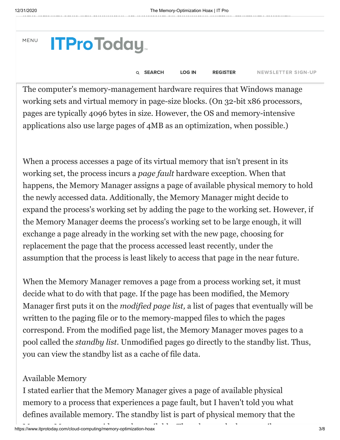**MEN** 

| <b>ITProToday</b> |  |
|-------------------|--|
|                   |  |

sets in response to the needs of processes for quick access to their [code and data.](https://www.itprotoday.com/newsletters/signup?code=hdbtn) Q [SEARCH](https://www.itprotoday.com/search) [LOG](https://www.itprotoday.com/penton_modal/nojs/login) IN [REGISTER](https://www.itprotoday.com/penton_modal/nojs/register/basic) NEWSLETTER SIGN-UP

The computer's memory-management hardware requires that Windows manage working sets and virtual memory in page-size blocks. (On 32-bit x86 processors, pages are typically 4096 bytes in size. However, the OS and memory-intensive applications also use large pages of 4MB as an optimization, when possible.)

called paged pool, and physical memory that the Cache Manager manages, are

When a process accesses a page of its virtual memory that isn't present in its working set, the process incurs a *page fault* hardware exception. When that happens, the Memory Manager assigns a page of available physical memory to hold the newly accessed data. Additionally, the Memory Manager might decide to expand the process's working set by adding the page to the working set. However, if the Memory Manager deems the process's working set to be large enough, it will exchange a page already in the working set with the new page, choosing for replacement the page that the process accessed least recently, under the assumption that the process is least likely to access that page in the near future.

When the Memory Manager removes a page from a process working set, it must decide what to do with that page. If the page has been modified, the Memory Manager first puts it on the *modified page list,* a list of pages that eventually will be written to the paging file or to the memory-mapped files to which the pages correspond. From the modified page list, the Memory Manager moves pages to a pool called the *standby list.* Unmodified pages go directly to the standby list. Thus, you can view the standby list as a cache of file data.

## Available Memory

I stated earlier that the Memory Manager gives a page of available physical memory to a process that experiences a page fault, but I haven't told you what defines available memory. The standby list is part of physical memory that the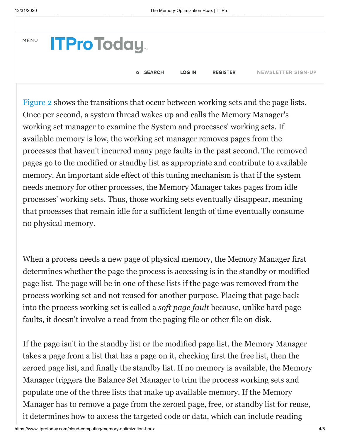| MENU <b>ITProToday</b> |                 |               |                 |                           |
|------------------------|-----------------|---------------|-----------------|---------------------------|
|                        | Q <b>SEARCH</b> | <b>LOG IN</b> | <b>REGISTER</b> | <b>NEWSLETTER SIGN-UP</b> |

[Figure 2](https://www.itprotoday.com/content/content/41095/figure_02.gif) shows the transitions that occur between working sets and the page lists. Once per second, a system thread wakes up and calls the Memory Manager's working set manager to examine the System and processes' working sets. If available memory is low, the working set manager removes pages from the processes that haven't incurred many page faults in the past second. The removed pages go to the modified or standby list as appropriate and contribute to available memory. An important side effect of this tuning mechanism is that if the system needs memory for other processes, the Memory Manager takes pages from idle processes' working sets. Thus, those working sets eventually disappear, meaning that processes that remain idle for a sufficient length of time eventually consume no physical memory.

When a process needs a new page of physical memory, the Memory Manager first determines whether the page the process is accessing is in the standby or modified page list. The page will be in one of these lists if the page was removed from the process working set and not reused for another purpose. Placing that page back into the process working set is called a *soft page fault* because, unlike hard page faults, it doesn't involve a read from the paging file or other file on disk.

If the page isn't in the standby list or the modified page list, the Memory Manager takes a page from a list that has a page on it, checking first the free list, then the zeroed page list, and finally the standby list. If no memory is available, the Memory Manager triggers the Balance Set Manager to trim the process working sets and populate one of the three lists that make up available memory. If the Memory Manager has to remove a page from the zeroed page, free, or standby list for reuse, it determines how to access the targeted code or data, which can include reading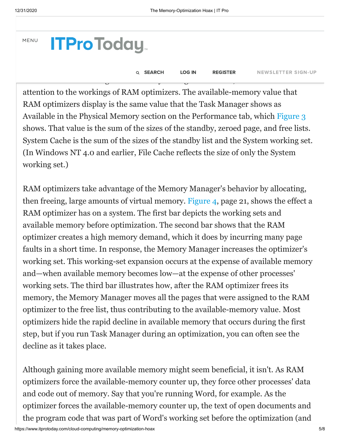### MENU

**ITProToday** 

Q [SEARCH](https://www.itprotoday.com/search) [LOG](https://www.itprotoday.com/penton_modal/nojs/login) IN [REGISTER](https://www.itprotoday.com/penton_modal/nojs/register/basic) NEWSLETTER SIGN-UP

attention to the workings of RAM optimizers. The available-memory value that RAM optimizers display is the same value that the Task Manager shows as Available in the Physical Memory section on the Performance tab, which [Figure 3](https://www.itprotoday.com/content/content/41095/figure_03.gif) shows. That value is the sum of the sizes of the standby, zeroed page, and free lists. System Cache is the sum of the sizes of the standby list and the System working set. (In Windows NT 4.0 and earlier, File Cache reflects the size of only the System working set.)

 $\mathbf{W} = \mathbf{W} \mathbf{W} = \mathbf{W} \mathbf{W} = \mathbf{W} \mathbf{W} = \mathbf{W} \mathbf{W}$ 

the appl[ication is allocating fresh da](https://www.itprotoday.com/)ta and the page taken wasn't from the zeroed

RAM optimizers take advantage of the Memory Manager's behavior by allocating, then freeing, large amounts of virtual memory. [Figure 4](https://www.itprotoday.com/content/content/41095/figure_04.gif), page 21, shows the effect a RAM optimizer has on a system. The first bar depicts the working sets and available memory before optimization. The second bar shows that the RAM optimizer creates a high memory demand, which it does by incurring many page faults in a short time. In response, the Memory Manager increases the optimizer's working set. This working-set expansion occurs at the expense of available memory and—when available memory becomes low—at the expense of other processes' working sets. The third bar illustrates how, after the RAM optimizer frees its memory, the Memory Manager moves all the pages that were assigned to the RAM optimizer to the free list, thus contributing to the available-memory value. Most optimizers hide the rapid decline in available memory that occurs during the first step, but if you run Task Manager during an optimization, you can often see the decline as it takes place.

Although gaining more available memory might seem beneficial, it isn't. As RAM optimizers force the available-memory counter up, they force other processes' data and code out of memory. Say that you're running Word, for example. As the optimizer forces the available-memory counter up, the text of open documents and the program code that was part of Word's working set before the optimization (and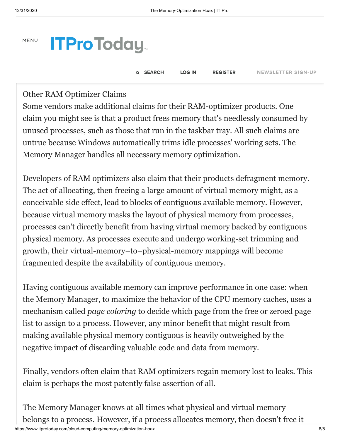

Other RAM Optimizer Claims

Some vendors make additional claims for their RAM-optimizer products. One claim you might see is that a product frees memory that's needlessly consumed by unused processes, such as those that run in the taskbar tray. All such claims are untrue because Windows automatically trims idle processes' working sets. The Memory Manager handles all necessary memory optimization.

Developers of RAM optimizers also claim that their products defragment memory. The act of allocating, then freeing a large amount of virtual memory might, as a conceivable side effect, lead to blocks of contiguous available memory. However, because virtual memory masks the layout of physical memory from processes, processes can't directly benefit from having virtual memory backed by contiguous physical memory. As processes execute and undergo working-set trimming and growth, their virtual-memory–to–physical-memory mappings will become fragmented despite the availability of contiguous memory.

Having contiguous available memory can improve performance in one case: when the Memory Manager, to maximize the behavior of the CPU memory caches, uses a mechanism called *page coloring* to decide which page from the free or zeroed page list to assign to a process. However, any minor benefit that might result from making available physical memory contiguous is heavily outweighed by the negative impact of discarding valuable code and data from memory.

Finally, vendors often claim that RAM optimizers regain memory lost to leaks. This claim is perhaps the most patently false assertion of all.

https://www.itprotoday.com/cloud-computing/memory-optimization-hoax 6/8 The Memory Manager knows at all times what physical and virtual memory belongs to a process. However, if a process allocates memory, then doesn't free it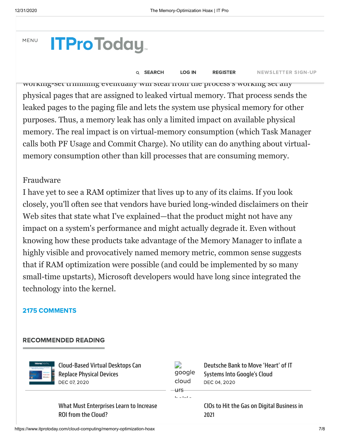MENU

# recogni[ze that the allocated memory](https://www.itprotoday.com/) won't be accessed again at some point and must be process to the process exists to reclaim the memory.

#### Q SEARCH LOGIN REGISTER NEWSLETTERS **Q SEARCH LOG IN REGISTER** NEWSLETTER SIGN-UP

working-set trimming eventually will steal from the process's working set any physical pages that are assigned to leaked virtual memory. That process sends the leaked pages to the paging file and lets the system use physical memory for other purposes. Thus, a memory leak has only a limited impact on available physical memory. The real impact is on virtual-memory consumption (which Task Manager calls both PF Usage and Commit Charge). No utility can do anything about virtualmemory consumption other than kill processes that are consuming memory.

## Fraudware

I have yet to see a RAM optimizer that lives up to any of its claims. If you look closely, you'll often see that vendors have buried long-winded disclaimers on their Web sites that state what I've explained—that the product might not have any impact on a system's performance and might actually degrade it. Even without knowing how these products take advantage of the Memory Manager to inflate a highly visible and provocatively named memory metric, common sense suggests that if RAM optimization were possible (and could be implemented by so many small-time upstarts), Microsoft developers would have long since integrated the technology into the kernel.

## 2175 [COMMENTS](javascript:void(0))

### RECOMMENDED READING